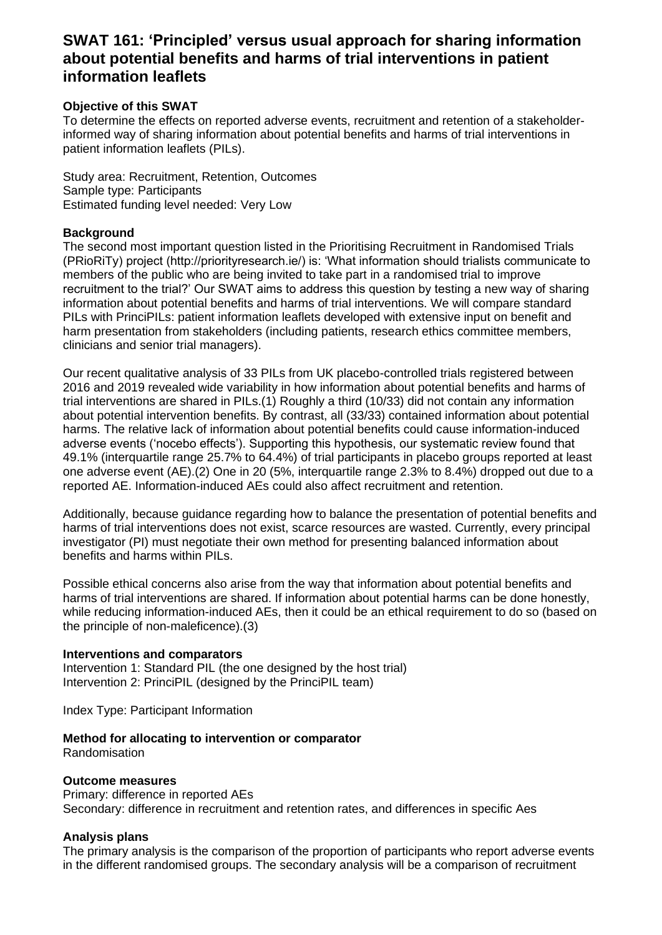# **SWAT 161: 'Principled' versus usual approach for sharing information about potential benefits and harms of trial interventions in patient information leaflets**

# **Objective of this SWAT**

To determine the effects on reported adverse events, recruitment and retention of a stakeholderinformed way of sharing information about potential benefits and harms of trial interventions in patient information leaflets (PILs).

Study area: Recruitment, Retention, Outcomes Sample type: Participants Estimated funding level needed: Very Low

# **Background**

The second most important question listed in the Prioritising Recruitment in Randomised Trials (PRioRiTy) project (http://priorityresearch.ie/) is: 'What information should trialists communicate to members of the public who are being invited to take part in a randomised trial to improve recruitment to the trial?' Our SWAT aims to address this question by testing a new way of sharing information about potential benefits and harms of trial interventions. We will compare standard PILs with PrinciPILs: patient information leaflets developed with extensive input on benefit and harm presentation from stakeholders (including patients, research ethics committee members, clinicians and senior trial managers).

Our recent qualitative analysis of 33 PILs from UK placebo-controlled trials registered between 2016 and 2019 revealed wide variability in how information about potential benefits and harms of trial interventions are shared in PILs.(1) Roughly a third (10/33) did not contain any information about potential intervention benefits. By contrast, all (33/33) contained information about potential harms. The relative lack of information about potential benefits could cause information-induced adverse events ('nocebo effects'). Supporting this hypothesis, our systematic review found that 49.1% (interquartile range 25.7% to 64.4%) of trial participants in placebo groups reported at least one adverse event (AE).(2) One in 20 (5%, interquartile range 2.3% to 8.4%) dropped out due to a reported AE. Information-induced AEs could also affect recruitment and retention.

Additionally, because guidance regarding how to balance the presentation of potential benefits and harms of trial interventions does not exist, scarce resources are wasted. Currently, every principal investigator (PI) must negotiate their own method for presenting balanced information about benefits and harms within PILs.

Possible ethical concerns also arise from the way that information about potential benefits and harms of trial interventions are shared. If information about potential harms can be done honestly, while reducing information-induced AEs, then it could be an ethical requirement to do so (based on the principle of non-maleficence).(3)

## **Interventions and comparators**

Intervention 1: Standard PIL (the one designed by the host trial) Intervention 2: PrinciPIL (designed by the PrinciPIL team)

Index Type: Participant Information

## **Method for allocating to intervention or comparator**

Randomisation

## **Outcome measures**

Primary: difference in reported AEs Secondary: difference in recruitment and retention rates, and differences in specific Aes

## **Analysis plans**

The primary analysis is the comparison of the proportion of participants who report adverse events in the different randomised groups. The secondary analysis will be a comparison of recruitment